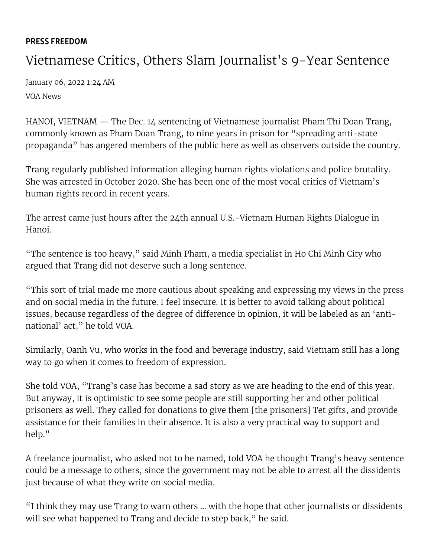## PRESS [FREEDOM](https://www.voanews.com/z/5818)

## Vietnamese Critics, Others Slam Journalist's 9-Year Sentence

January 06, 2022 1:24 AM [VOA News](https://www.voanews.com/author/voa-news/oumqq)

HANOI, VIETNAM — The Dec. 14 sentencing of Vietnamese journalist Pham Thi Doan Trang, commonly known as Pham Doan Trang, to nine years in prison for "spreading anti-state [propaganda" has angered members of the public here as well as observers outside the cou](https://www.voanews.com/a/vietnam-sentences-journalist-to-9-years-for-spreading-anti-state-propaganda-/6354773.html)ntry.

Trang regularly published information alleging human rights violations and police brutality. She was arrested in October 2020. She has been one of the most vocal critics of Vietnam's human rights record in recent years.

The arrest came just hours after the 24th annual U.S.-Vietnam Human Rights Dialogue in Hanoi.

"The sentence is too heavy," said Minh Pham, a media specialist in Ho Chi Minh City who argued that Trang did not deserve such a long sentence.

"This sort of trial made me more cautious about speaking and expressing my views in the press and on social media in the future. I feel insecure. It is better to avoid talking about political issues, because regardless of the degree of difference in opinion, it will be labeled as an 'antinational' act," he told VOA.

Similarly, Oanh Vu, who works in the food and beverage industry, said Vietnam still has a long way to go when it comes to freedom of expression.

She told VOA, "Trang's case has become a sad story as we are heading to the end of this year. But anyway, it is optimistic to see some people are still supporting her and other political prisoners as well. They called for donations to give them [the prisoners] Tet gifts, and provide assistance for their families in their absence. It is also a very practical way to support and help."

A freelance journalist, who asked not to be named, told VOA he thought Trang's heavy sentence could be a message to others, since the government may not be able to arrest all the dissidents just because of what they write on social media.

"I think they may use Trang to warn others … with the hope that other journalists or dissidents will see what happened to Trang and decide to step back," he said.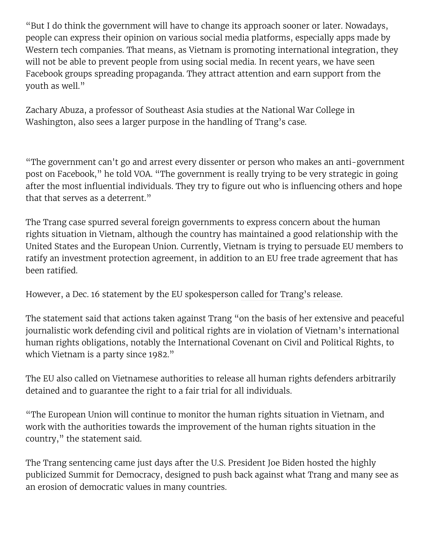"But I do think the government will have to change its approach sooner or later. Nowadays, people can express their opinion on various social media platforms, especially apps made by Western tech companies. That means, as Vietnam is promoting international integration, they will not be able to prevent people from using social media. In recent years, we have seen Facebook groups spreading propaganda. They attract attention and earn support from the youth as well."

Zachary Abuza, a professor of Southeast Asia studies at the National War College in Washington, also sees a larger purpose in the handling of Trang's case.

"The government can't go and arrest every dissenter or person who makes an anti-government post on Facebook," he told VOA. "The government is really trying to be very strategic in going after the most influential individuals. They try to figure out who is influencing others and hope that that serves as a deterrent."

The Trang case spurred several foreign governments to express concern about the human rights situation in Vietnam, although the country has maintained a good relationship with the United States and the European Union. Currently, Vietnam is trying to persuade EU members to ratify an investment protection agreement, in addition to an EU free trade agreement that has been ratified.

However, a Dec. 16 statement by the EU spokesperson [called for Trang's release](https://eeas.europa.eu/headquarters/headquarters-homepage/109007/vietnam-statement-spokesperson-verdicts-against-human-rights-defenders_en).

The statement said that actions taken against Trang "on the basis of her extensive and peaceful journalistic work defending civil and political rights are in violation of Vietnam's international human rights obligations, notably the International Covenant on Civil and Political Rights, to which Vietnam is a party since 1982."

The EU also called on Vietnamese authorities to release all human rights defenders arbitrarily detained and to guarantee the right to a fair trial for all individuals.

"The European Union will continue to monitor the human rights situation in Vietnam, and work with the authorities towards the improvement of the human rights situation in the country," the statement said.

The Trang sentencing came just days after the U.S. President Joe Biden hosted the highly publicized Summit for Democracy, designed to push back against what Trang and many see as an erosion of democratic values in many countries.